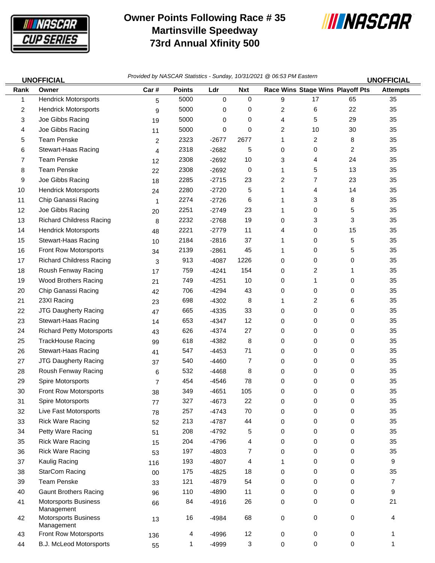

## **Owner Points Following Race # 35 Martinsville Speedway 73rd Annual Xfinity 500**



| <b>UNOFFICIAL</b> |                                           | Provided by NASCAR Statistics - Sunday, 10/31/2021 @ 06:53 PM Eastern |               |             |            |              |    |                                         | <b>UNOFFICIAL</b> |
|-------------------|-------------------------------------------|-----------------------------------------------------------------------|---------------|-------------|------------|--------------|----|-----------------------------------------|-------------------|
| Rank              | Owner                                     | Car#                                                                  | <b>Points</b> | Ldr         | <b>Nxt</b> |              |    | <b>Race Wins Stage Wins Playoff Pts</b> | <b>Attempts</b>   |
| 1                 | <b>Hendrick Motorsports</b>               | 5                                                                     | 5000          | $\mathbf 0$ | 0          | 9            | 17 | 65                                      | 35                |
| 2                 | <b>Hendrick Motorsports</b>               | 9                                                                     | 5000          | 0           | 0          | 2            | 6  | 22                                      | 35                |
| 3                 | Joe Gibbs Racing                          | 19                                                                    | 5000          | 0           | 0          | 4            | 5  | 29                                      | 35                |
| 4                 | Joe Gibbs Racing                          | 11                                                                    | 5000          | 0           | 0          | 2            | 10 | 30                                      | 35                |
| 5                 | <b>Team Penske</b>                        | 2                                                                     | 2323          | $-2677$     | 2677       | 1            | 2  | 8                                       | 35                |
| 6                 | Stewart-Haas Racing                       | 4                                                                     | 2318          | $-2682$     | 5          | 0            | 0  | $\overline{c}$                          | 35                |
| 7                 | <b>Team Penske</b>                        | 12                                                                    | 2308          | $-2692$     | 10         | 3            | 4  | 24                                      | 35                |
| 8                 | <b>Team Penske</b>                        | 22                                                                    | 2308          | $-2692$     | 0          | $\mathbf{1}$ | 5  | 13                                      | 35                |
| 9                 | Joe Gibbs Racing                          | 18                                                                    | 2285          | $-2715$     | 23         | 2            | 7  | 23                                      | 35                |
| 10                | <b>Hendrick Motorsports</b>               | 24                                                                    | 2280          | $-2720$     | 5          | 1            | 4  | 14                                      | 35                |
| 11                | Chip Ganassi Racing                       | $\mathbf{1}$                                                          | 2274          | $-2726$     | 6          | 1            | 3  | 8                                       | 35                |
| 12                | Joe Gibbs Racing                          | 20                                                                    | 2251          | $-2749$     | 23         | 1            | 0  | 5                                       | 35                |
| 13                | <b>Richard Childress Racing</b>           | 8                                                                     | 2232          | $-2768$     | 19         | 0            | 3  | 3                                       | 35                |
| 14                | <b>Hendrick Motorsports</b>               | 48                                                                    | 2221          | $-2779$     | 11         | 4            | 0  | 15                                      | 35                |
| 15                | Stewart-Haas Racing                       | 10                                                                    | 2184          | $-2816$     | 37         | 1            | 0  | 5                                       | 35                |
| 16                | Front Row Motorsports                     | 34                                                                    | 2139          | $-2861$     | 45         | 1            | 0  | 5                                       | 35                |
| 17                | <b>Richard Childress Racing</b>           | 3                                                                     | 913           | $-4087$     | 1226       | 0            | 0  | 0                                       | 35                |
| 18                | Roush Fenway Racing                       | 17                                                                    | 759           | $-4241$     | 154        | 0            | 2  | 1                                       | 35                |
| 19                | <b>Wood Brothers Racing</b>               | 21                                                                    | 749           | $-4251$     | 10         | 0            | 1  | 0                                       | 35                |
| 20                | Chip Ganassi Racing                       | 42                                                                    | 706           | $-4294$     | 43         | 0            | 0  | 0                                       | 35                |
| 21                | 23XI Racing                               | 23                                                                    | 698           | $-4302$     | 8          | $\mathbf{1}$ | 2  | 6                                       | 35                |
| 22                | JTG Daugherty Racing                      | 47                                                                    | 665           | $-4335$     | 33         | 0            | 0  | 0                                       | 35                |
| 23                | Stewart-Haas Racing                       | 14                                                                    | 653           | $-4347$     | 12         | 0            | 0  | 0                                       | 35                |
| 24                | <b>Richard Petty Motorsports</b>          | 43                                                                    | 626           | $-4374$     | 27         | 0            | 0  | 0                                       | 35                |
| 25                | <b>TrackHouse Racing</b>                  | 99                                                                    | 618           | $-4382$     | 8          | 0            | 0  | 0                                       | 35                |
| 26                | Stewart-Haas Racing                       | 41                                                                    | 547           | $-4453$     | 71         | 0            | 0  | 0                                       | 35                |
| 27                | <b>JTG Daugherty Racing</b>               | 37                                                                    | 540           | $-4460$     | 7          | 0            | 0  | 0                                       | 35                |
| 28                | Roush Fenway Racing                       | 6                                                                     | 532           | $-4468$     | 8          | 0            | 0  | 0                                       | 35                |
| 29                | Spire Motorsports                         | 7                                                                     | 454           | $-4546$     | 78         | 0            | 0  | 0                                       | 35                |
| 30                | Front Row Motorsports                     | 38                                                                    | 349           | $-4651$     | 105        | 0            | 0  | 0                                       | 35                |
| 31                | Spire Motorsports                         | 77                                                                    | 327           | $-4673$     | 22         | 0            | 0  | 0                                       | 35                |
| 32                | Live Fast Motorsports                     | 78                                                                    | 257           | $-4743$     | 70         | 0            | 0  | 0                                       | 35                |
| 33                | <b>Rick Ware Racing</b>                   | 52                                                                    | 213           | $-4787$     | 44         | 0            | 0  | 0                                       | 35                |
| 34                | Petty Ware Racing                         | 51                                                                    | 208           | $-4792$     | 5          | 0            | 0  | 0                                       | 35                |
| 35                | <b>Rick Ware Racing</b>                   | 15                                                                    | 204           | $-4796$     | 4          | 0            | 0  | 0                                       | 35                |
| 36                | <b>Rick Ware Racing</b>                   | 53                                                                    | 197           | $-4803$     | 7          | 0            | 0  | 0                                       | 35                |
| 37                | Kaulig Racing                             | 116                                                                   | 193           | $-4807$     | 4          | 1            | 0  | 0                                       | 9                 |
| 38                | StarCom Racing                            | $00\,$                                                                | 175           | $-4825$     | 18         | 0            | 0  | 0                                       | 35                |
| 39                | <b>Team Penske</b>                        | 33                                                                    | 121           | $-4879$     | 54         | 0            | 0  | 0                                       | $\overline{7}$    |
| 40                | <b>Gaunt Brothers Racing</b>              | 96                                                                    | 110           | $-4890$     | 11         | 0            | 0  | 0                                       | 9                 |
| 41                | <b>Motorsports Business</b><br>Management | 66                                                                    | 84            | $-4916$     | 26         | 0            | 0  | 0                                       | 21                |
| 42                | <b>Motorsports Business</b><br>Management | 13                                                                    | 16            | $-4984$     | 68         | 0            | 0  | 0                                       | 4                 |
| 43                | Front Row Motorsports                     | 136                                                                   | 4             | $-4996$     | 12         | 0            | 0  | 0                                       | 1                 |

44 B.J. McLeod Motorsports 65 1 -4999 3 0 0 0 1